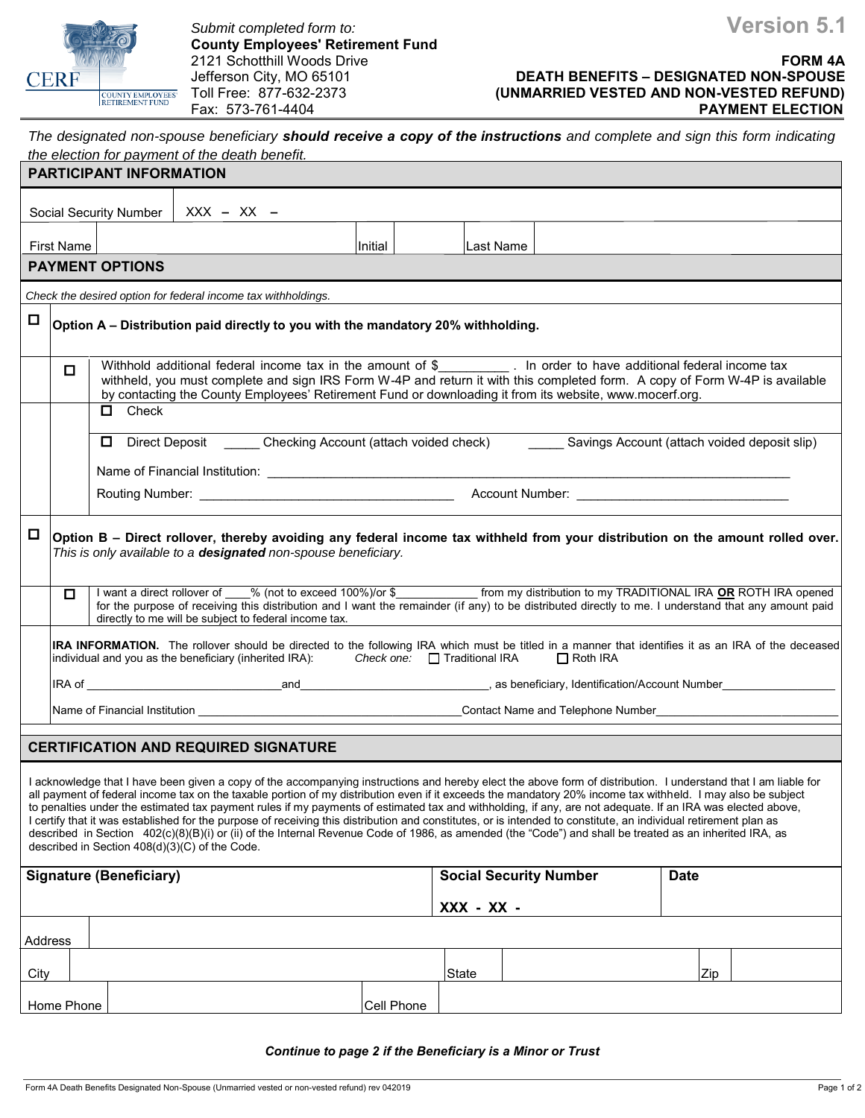

## 2121 Schotthill Woods Drive **FORM 4A** Jefferson City, MO 65101 **DEATH BENEFITS – DESIGNATED NON-SPOUSE**  Toll Free: 877-632-2373 **(UNMARRIED VESTED AND NON-VESTED REFUND) PAYMENT ELECTION**

| The designated non-spouse beneficiary should receive a copy of the instructions and complete and sign this form indicating                                                                                                                                                                                                                                                                                                                                                                                                                                                                                                                                                                                                                                                                                                                                                    |  |  |                                             |  |                               |            |  |             |     |  |  |  |
|-------------------------------------------------------------------------------------------------------------------------------------------------------------------------------------------------------------------------------------------------------------------------------------------------------------------------------------------------------------------------------------------------------------------------------------------------------------------------------------------------------------------------------------------------------------------------------------------------------------------------------------------------------------------------------------------------------------------------------------------------------------------------------------------------------------------------------------------------------------------------------|--|--|---------------------------------------------|--|-------------------------------|------------|--|-------------|-----|--|--|--|
| the election for payment of the death benefit.<br><b>PARTICIPANT INFORMATION</b>                                                                                                                                                                                                                                                                                                                                                                                                                                                                                                                                                                                                                                                                                                                                                                                              |  |  |                                             |  |                               |            |  |             |     |  |  |  |
| Social Security Number   XXX - XX -                                                                                                                                                                                                                                                                                                                                                                                                                                                                                                                                                                                                                                                                                                                                                                                                                                           |  |  |                                             |  |                               |            |  |             |     |  |  |  |
|                                                                                                                                                                                                                                                                                                                                                                                                                                                                                                                                                                                                                                                                                                                                                                                                                                                                               |  |  |                                             |  |                               |            |  |             |     |  |  |  |
| First Name<br><b>Initial</b><br>Last Name                                                                                                                                                                                                                                                                                                                                                                                                                                                                                                                                                                                                                                                                                                                                                                                                                                     |  |  |                                             |  |                               |            |  |             |     |  |  |  |
| <b>PAYMENT OPTIONS</b>                                                                                                                                                                                                                                                                                                                                                                                                                                                                                                                                                                                                                                                                                                                                                                                                                                                        |  |  |                                             |  |                               |            |  |             |     |  |  |  |
| Check the desired option for federal income tax withholdings.                                                                                                                                                                                                                                                                                                                                                                                                                                                                                                                                                                                                                                                                                                                                                                                                                 |  |  |                                             |  |                               |            |  |             |     |  |  |  |
| О<br>Option A - Distribution paid directly to you with the mandatory 20% withholding.                                                                                                                                                                                                                                                                                                                                                                                                                                                                                                                                                                                                                                                                                                                                                                                         |  |  |                                             |  |                               |            |  |             |     |  |  |  |
| Withhold additional federal income tax in the amount of \$_____________. In order to have additional federal income tax<br>□<br>withheld, you must complete and sign IRS Form W-4P and return it with this completed form. A copy of Form W-4P is available<br>by contacting the County Employees' Retirement Fund or downloading it from its website, www.mocerf.org.                                                                                                                                                                                                                                                                                                                                                                                                                                                                                                        |  |  |                                             |  |                               |            |  |             |     |  |  |  |
| $\Box$ Check                                                                                                                                                                                                                                                                                                                                                                                                                                                                                                                                                                                                                                                                                                                                                                                                                                                                  |  |  |                                             |  |                               |            |  |             |     |  |  |  |
| D Direct Deposit Checking Account (attach voided check) Chavings Account (attach voided deposit slip)                                                                                                                                                                                                                                                                                                                                                                                                                                                                                                                                                                                                                                                                                                                                                                         |  |  |                                             |  |                               |            |  |             |     |  |  |  |
|                                                                                                                                                                                                                                                                                                                                                                                                                                                                                                                                                                                                                                                                                                                                                                                                                                                                               |  |  |                                             |  |                               |            |  |             |     |  |  |  |
|                                                                                                                                                                                                                                                                                                                                                                                                                                                                                                                                                                                                                                                                                                                                                                                                                                                                               |  |  |                                             |  |                               |            |  |             |     |  |  |  |
| □<br>Option B - Direct rollover, thereby avoiding any federal income tax withheld from your distribution on the amount rolled over.<br>This is only available to a designated non-spouse beneficiary.<br>I want a direct rollover of % (not to exceed 100%)/or \$ from my distribution to my TRADITIONAL IRA OR ROTH IRA opened<br>п<br>for the purpose of receiving this distribution and I want the remainder (if any) to be distributed directly to me. I understand that any amount paid<br>directly to me will be subject to federal income tax.<br>IRA INFORMATION. The rollover should be directed to the following IRA which must be titled in a manner that identifies it as an IRA of the deceased<br>individual and you as the beneficiary (inherited IRA): Check one: $\Box$ Traditional IRA<br>$\Box$ Roth IRA                                                   |  |  |                                             |  |                               |            |  |             |     |  |  |  |
|                                                                                                                                                                                                                                                                                                                                                                                                                                                                                                                                                                                                                                                                                                                                                                                                                                                                               |  |  |                                             |  |                               |            |  |             |     |  |  |  |
|                                                                                                                                                                                                                                                                                                                                                                                                                                                                                                                                                                                                                                                                                                                                                                                                                                                                               |  |  | <b>CERTIFICATION AND REQUIRED SIGNATURE</b> |  |                               |            |  |             |     |  |  |  |
| I acknowledge that I have been given a copy of the accompanying instructions and hereby elect the above form of distribution. I understand that I am liable for<br>all payment of federal income tax on the taxable portion of my distribution even if it exceeds the mandatory 20% income tax withheld. I may also be subject<br>to penalties under the estimated tax payment rules if my payments of estimated tax and withholding, if any, are not adequate. If an IRA was elected above,<br>I certify that it was established for the purpose of receiving this distribution and constitutes, or is intended to constitute, an individual retirement plan as<br>described in Section 402(c)(8)(B)(i) or (ii) of the Internal Revenue Code of 1986, as amended (the "Code") and shall be treated as an inherited IRA, as<br>described in Section 408(d)(3)(C) of the Code. |  |  |                                             |  |                               |            |  |             |     |  |  |  |
| <b>Signature (Beneficiary)</b>                                                                                                                                                                                                                                                                                                                                                                                                                                                                                                                                                                                                                                                                                                                                                                                                                                                |  |  |                                             |  | <b>Social Security Number</b> |            |  | <b>Date</b> |     |  |  |  |
|                                                                                                                                                                                                                                                                                                                                                                                                                                                                                                                                                                                                                                                                                                                                                                                                                                                                               |  |  |                                             |  |                               | XXX - XX - |  |             |     |  |  |  |
| Address                                                                                                                                                                                                                                                                                                                                                                                                                                                                                                                                                                                                                                                                                                                                                                                                                                                                       |  |  |                                             |  |                               |            |  |             |     |  |  |  |
| City                                                                                                                                                                                                                                                                                                                                                                                                                                                                                                                                                                                                                                                                                                                                                                                                                                                                          |  |  |                                             |  |                               | State      |  |             | Zip |  |  |  |
|                                                                                                                                                                                                                                                                                                                                                                                                                                                                                                                                                                                                                                                                                                                                                                                                                                                                               |  |  |                                             |  |                               |            |  |             |     |  |  |  |
| Home Phone                                                                                                                                                                                                                                                                                                                                                                                                                                                                                                                                                                                                                                                                                                                                                                                                                                                                    |  |  |                                             |  | Cell Phone                    |            |  |             |     |  |  |  |

## *Continue to page 2 if the Beneficiary is a Minor or Trust*